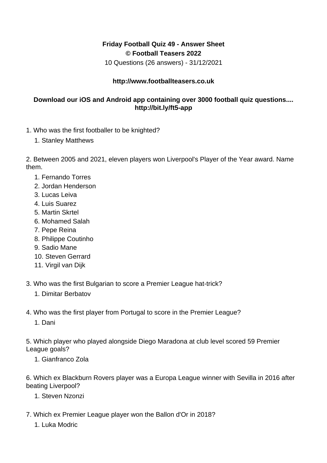## **Friday Football Quiz 49 - Answer Sheet © Football Teasers 2022**

10 Questions (26 answers) - 31/12/2021

## **http://www.footballteasers.co.uk**

## **Download our iOS and Android app containing over 3000 football quiz questions.... http://bit.ly/ft5-app**

- 1. Who was the first footballer to be knighted?
	- 1. Stanley Matthews

2. Between 2005 and 2021, eleven players won Liverpool's Player of the Year award. Name them.

- 1. Fernando Torres
- 2. Jordan Henderson
- 3. Lucas Leiva
- 4. Luis Suarez
- 5. Martin Skrtel
- 6. Mohamed Salah
- 7. Pepe Reina
- 8. Philippe Coutinho
- 9. Sadio Mane
- 10. Steven Gerrard
- 11. Virgil van Dijk
- 3. Who was the first Bulgarian to score a Premier League hat-trick?
	- 1. Dimitar Berbatov
- 4. Who was the first player from Portugal to score in the Premier League?
	- 1. Dani

5. Which player who played alongside Diego Maradona at club level scored 59 Premier League goals?

1. Gianfranco Zola

6. Which ex Blackburn Rovers player was a Europa League winner with Sevilla in 2016 after beating Liverpool?

- 1. Steven Nzonzi
- 7. Which ex Premier League player won the Ballon d'Or in 2018?
	- 1. Luka Modric